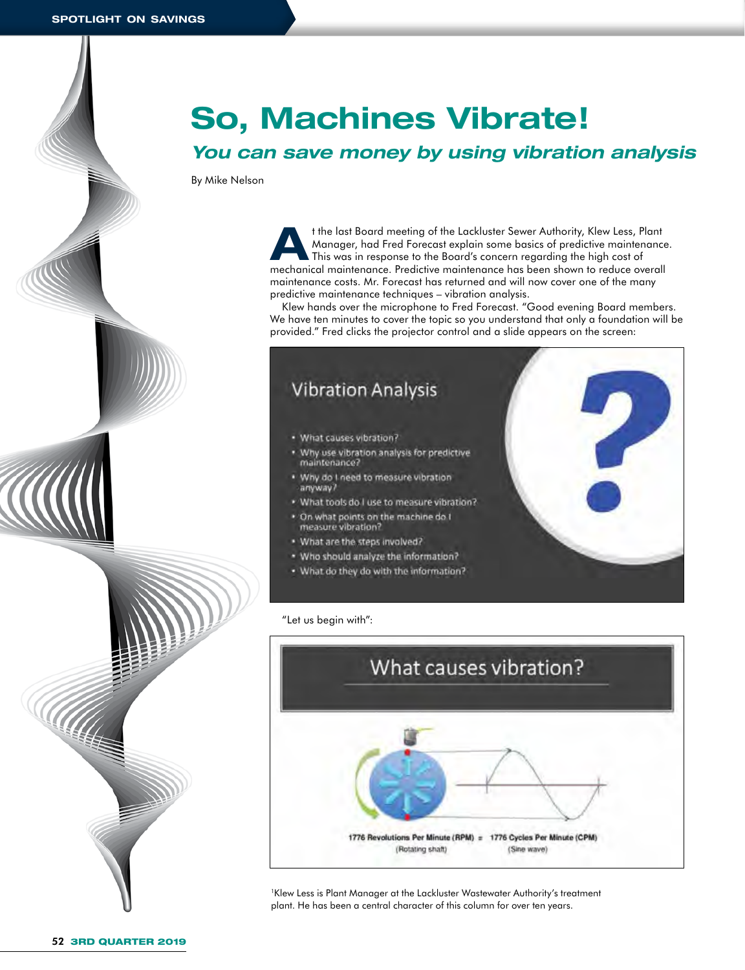# **So, Machines Vibrate!**

# *You can save money by using vibration analysis*

By Mike Nelson

the last Board meeting of the Lackluster Sewer Authority, Klew Less, Plant<br>Manager, had Fred Forecast explain some basics of predictive maintenance<br>This was in response to the Board's concern regarding the high cost of Manager, had Fred Forecast explain some basics of predictive maintenance. This was in response to the Board's concern regarding the high cost of mechanical maintenance. Predictive maintenance has been shown to reduce overall maintenance costs. Mr. Forecast has returned and will now cover one of the many predictive maintenance techniques – vibration analysis.

Klew hands over the microphone to Fred Forecast. "Good evening Board members. We have ten minutes to cover the topic so you understand that only a foundation will be provided." Fred clicks the projector control and a slide appears on the screen:



"Let us begin with":



1 Klew Less is Plant Manager at the Lackluster Wastewater Authority's treatment plant. He has been a central character of this column for over ten years.

**CONTACT OF STRAIGHTER**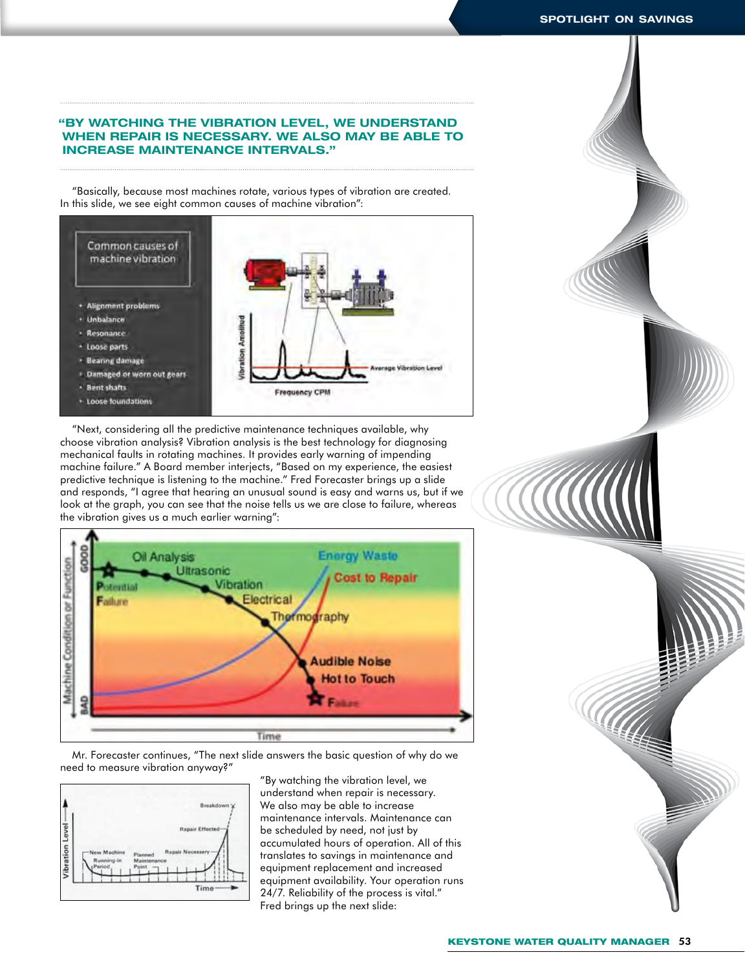## **"BY WATCHING THE VIBRATION LEVEL, WE UNDERSTAND WHEN REPAIR IS NECESSARY. WE ALSO MAY BE ABLE TO INCREASE MAINTENANCE INTERVALS."**

"Basically, because most machines rotate, various types of vibration are created. In this slide, we see eight common causes of machine vibration":



"Next, considering all the predictive maintenance techniques available, why choose vibration analysis? Vibration analysis is the best technology for diagnosing mechanical faults in rotating machines. It provides early warning of impending machine failure." A Board member interjects, "Based on my experience, the easiest predictive technique is listening to the machine." Fred Forecaster brings up a slide and responds, "I agree that hearing an unusual sound is easy and warns us, but if we look at the graph, you can see that the noise tells us we are close to failure, whereas the vibration gives us a much earlier warning":



Mr. Forecaster continues, "The next slide answers the basic question of why do we need to measure vibration anyway?"



"By watching the vibration level, we understand when repair is necessary. We also may be able to increase maintenance intervals. Maintenance can be scheduled by need, not just by accumulated hours of operation. All of this translates to savings in maintenance and equipment replacement and increased equipment availability. Your operation runs 24/7. Reliability of the process is vital." Fred brings up the next slide:

HA